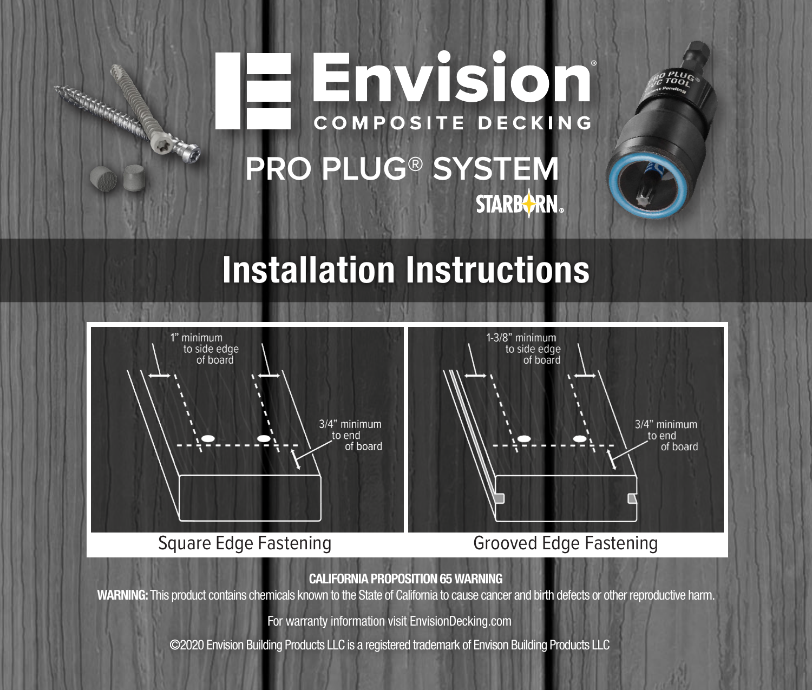# <u>- Envision</u> **COMPOSITE DECKING PRO PLUG® SYSTEM STARBORN.**

## Installation Instructions



Square Edge Fastening Grooved Edge Fastening

CALIFORNIA PROPOSITION 65 WARNING

WARNING: This product contains chemicals known to the State of California to cause cancer and birth defects or other reproductive harm.

For warranty information visit EnvisionDecking.com

© 2020 Envision Building Products LLC is a registered trademark of Envison Building Products LLC